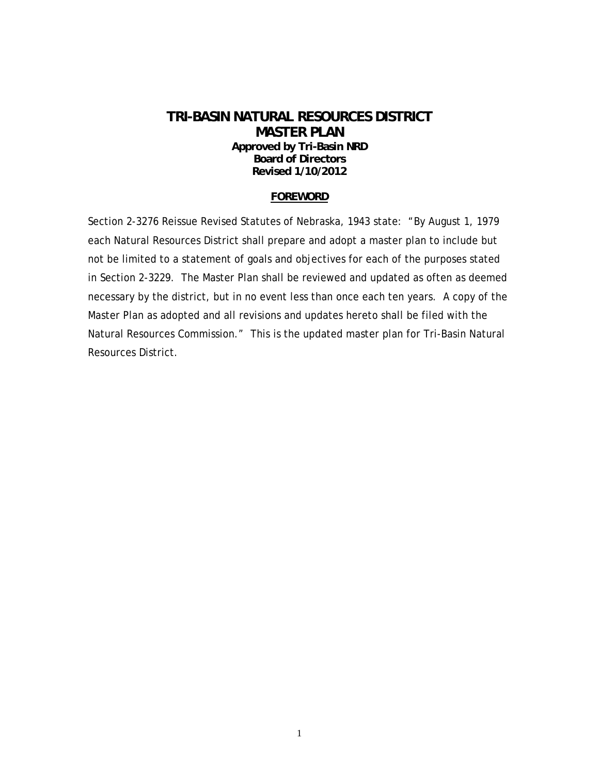### **TRI-BASIN NATURAL RESOURCES DISTRICT MASTER PLAN Approved by Tri-Basin NRD Board of Directors Revised 1/10/2012**

#### **FOREWORD**

Section 2-3276 Reissue Revised Statutes of Nebraska, 1943 state: "By August 1, 1979 each Natural Resources District shall prepare and adopt a master plan to include but not be limited to a statement of goals and objectives for each of the purposes stated in Section 2-3229. The Master Plan shall be reviewed and updated as often as deemed necessary by the district, but in no event less than once each ten years. A copy of the Master Plan as adopted and all revisions and updates hereto shall be filed with the Natural Resources Commission." This is the updated master plan for Tri-Basin Natural Resources District.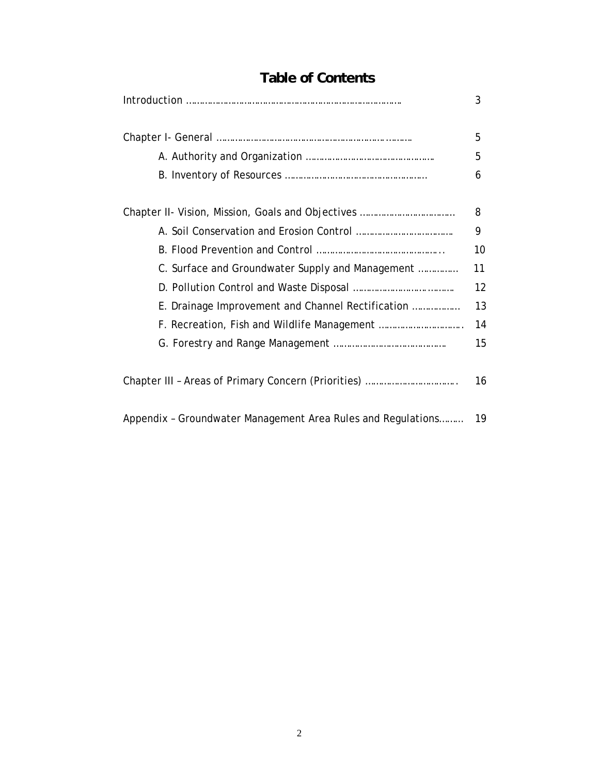|                                                              | 3  |
|--------------------------------------------------------------|----|
|                                                              | 5  |
|                                                              | 5  |
|                                                              | 6  |
|                                                              | 8  |
|                                                              | 9  |
|                                                              | 10 |
| C. Surface and Groundwater Supply and Management             | 11 |
|                                                              | 12 |
| E. Drainage Improvement and Channel Rectification            | 13 |
|                                                              | 14 |
|                                                              | 15 |
|                                                              | 16 |
| Appendix - Groundwater Management Area Rules and Regulations | 19 |

# **Table of Contents**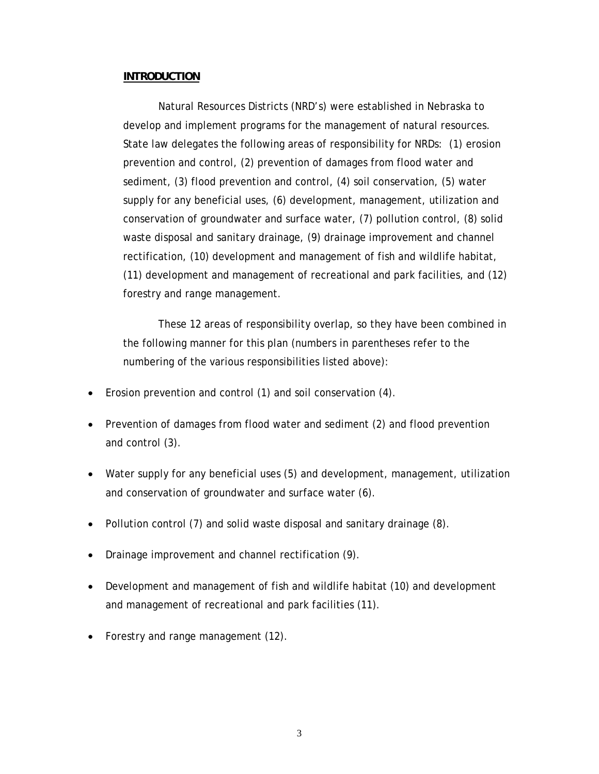#### **INTRODUCTION**

 Natural Resources Districts (NRD's) were established in Nebraska to develop and implement programs for the management of natural resources. State law delegates the following areas of responsibility for NRDs: (1) erosion prevention and control, (2) prevention of damages from flood water and sediment, (3) flood prevention and control, (4) soil conservation, (5) water supply for any beneficial uses, (6) development, management, utilization and conservation of groundwater and surface water, (7) pollution control, (8) solid waste disposal and sanitary drainage, (9) drainage improvement and channel rectification, (10) development and management of fish and wildlife habitat, (11) development and management of recreational and park facilities, and (12) forestry and range management.

 These 12 areas of responsibility overlap, so they have been combined in the following manner for this plan (numbers in parentheses refer to the numbering of the various responsibilities listed above):

- Erosion prevention and control (1) and soil conservation (4).
- Prevention of damages from flood water and sediment (2) and flood prevention and control (3).
- Water supply for any beneficial uses (5) and development, management, utilization and conservation of groundwater and surface water (6).
- Pollution control (7) and solid waste disposal and sanitary drainage (8).
- Drainage improvement and channel rectification (9).
- Development and management of fish and wildlife habitat (10) and development and management of recreational and park facilities (11).
- Forestry and range management (12).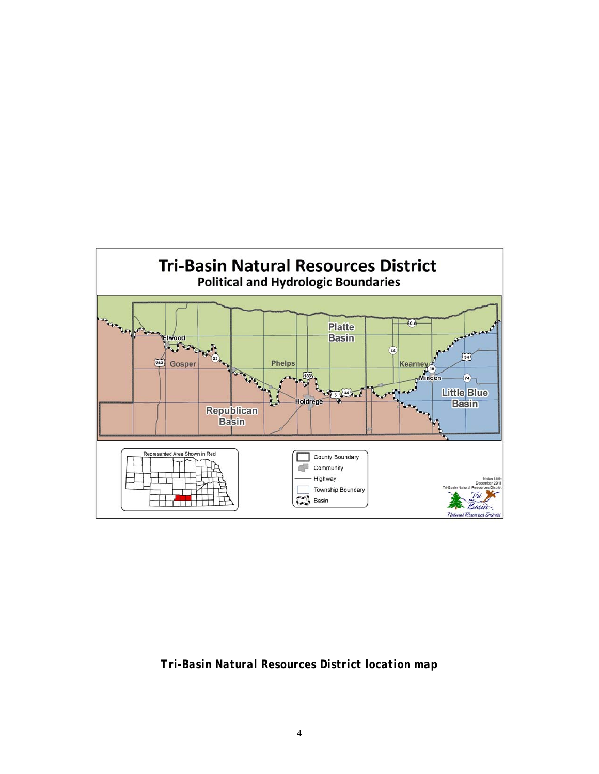

*Tri-Basin Natural Resources District location map*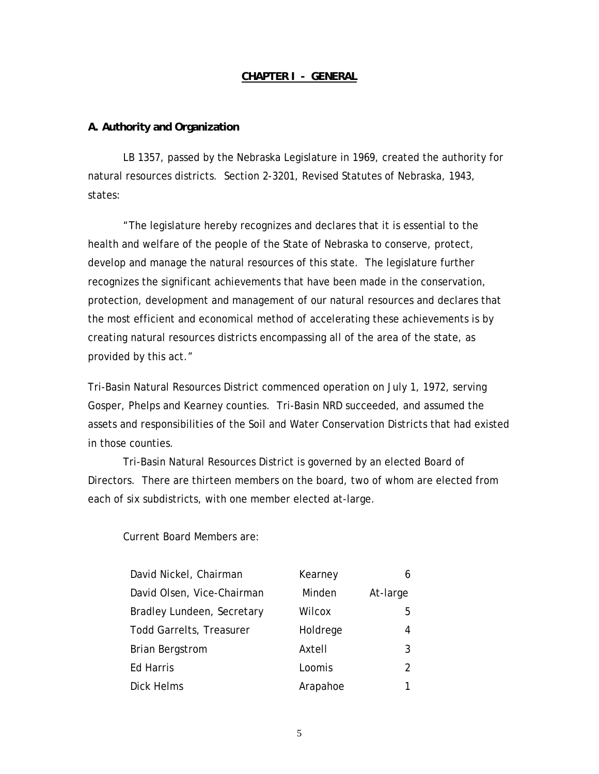#### **CHAPTER I - GENERAL**

#### **A. Authority and Organization**

 LB 1357, passed by the Nebraska Legislature in 1969, created the authority for natural resources districts. Section 2-3201, Revised Statutes of Nebraska, 1943, states:

 "The legislature hereby recognizes and declares that it is essential to the health and welfare of the people of the State of Nebraska to conserve, protect, develop and manage the natural resources of this state. The legislature further recognizes the significant achievements that have been made in the conservation, protection, development and management of our natural resources and declares that the most efficient and economical method of accelerating these achievements is by creating natural resources districts encompassing all of the area of the state, as provided by this act."

Tri-Basin Natural Resources District commenced operation on July 1, 1972, serving Gosper, Phelps and Kearney counties. Tri-Basin NRD succeeded, and assumed the assets and responsibilities of the Soil and Water Conservation Districts that had existed in those counties.

Tri-Basin Natural Resources District is governed by an elected Board of Directors. There are thirteen members on the board, two of whom are elected from each of six subdistricts, with one member elected at-large.

Current Board Members are:

| David Nickel, Chairman          | Kearney  |          |
|---------------------------------|----------|----------|
| David Olsen, Vice-Chairman      | Minden   | At-large |
| Bradley Lundeen, Secretary      | Wilcox   | 5        |
| <b>Todd Garrelts, Treasurer</b> | Holdrege | 4        |
| <b>Brian Bergstrom</b>          | Axtell   | 3        |
| <b>Ed Harris</b>                | Loomis   | 2        |
| Dick Helms                      | Arapahoe |          |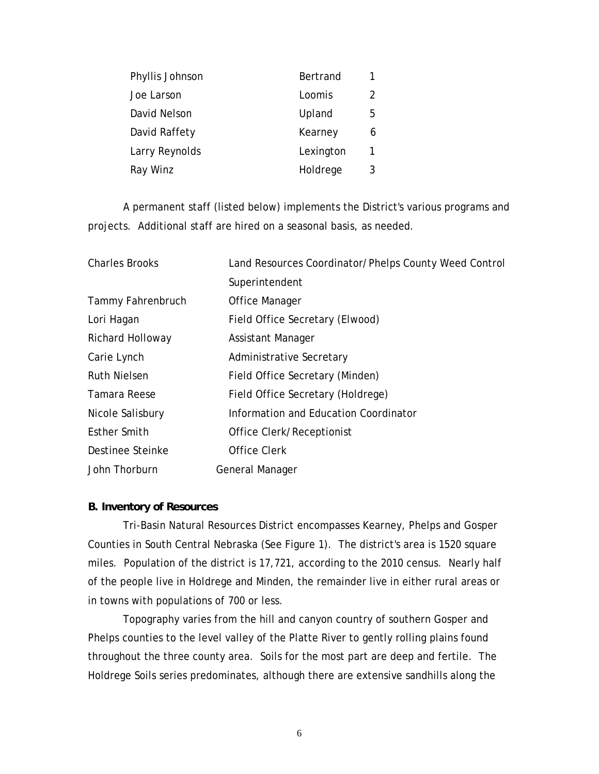| Phyllis Johnson | Bertrand  | 1 |
|-----------------|-----------|---|
| Joe Larson      | Loomis    | 2 |
| David Nelson    | Upland    | 5 |
| David Raffety   | Kearney   | 6 |
| Larry Reynolds  | Lexington | 1 |
| Ray Winz        | Holdrege  | 3 |

A permanent staff (listed below) implements the District's various programs and projects. Additional staff are hired on a seasonal basis, as needed.

| <b>Charles Brooks</b> | Land Resources Coordinator/Phelps County Weed Control |
|-----------------------|-------------------------------------------------------|
|                       | Superintendent                                        |
| Tammy Fahrenbruch     | Office Manager                                        |
| Lori Hagan            | Field Office Secretary (Elwood)                       |
| Richard Holloway      | Assistant Manager                                     |
| Carie Lynch           | Administrative Secretary                              |
| <b>Ruth Nielsen</b>   | Field Office Secretary (Minden)                       |
| Tamara Reese          | Field Office Secretary (Holdrege)                     |
| Nicole Salisbury      | Information and Education Coordinator                 |
| Esther Smith          | Office Clerk/Receptionist                             |
| Destinee Steinke      | Office Clerk                                          |
| John Thorburn         | General Manager                                       |

#### **B. Inventory of Resources**

Tri-Basin Natural Resources District encompasses Kearney, Phelps and Gosper Counties in South Central Nebraska (See Figure 1). The district's area is 1520 square miles. Population of the district is 17,721, according to the 2010 census. Nearly half of the people live in Holdrege and Minden, the remainder live in either rural areas or in towns with populations of 700 or less.

Topography varies from the hill and canyon country of southern Gosper and Phelps counties to the level valley of the Platte River to gently rolling plains found throughout the three county area. Soils for the most part are deep and fertile. The Holdrege Soils series predominates, although there are extensive sandhills along the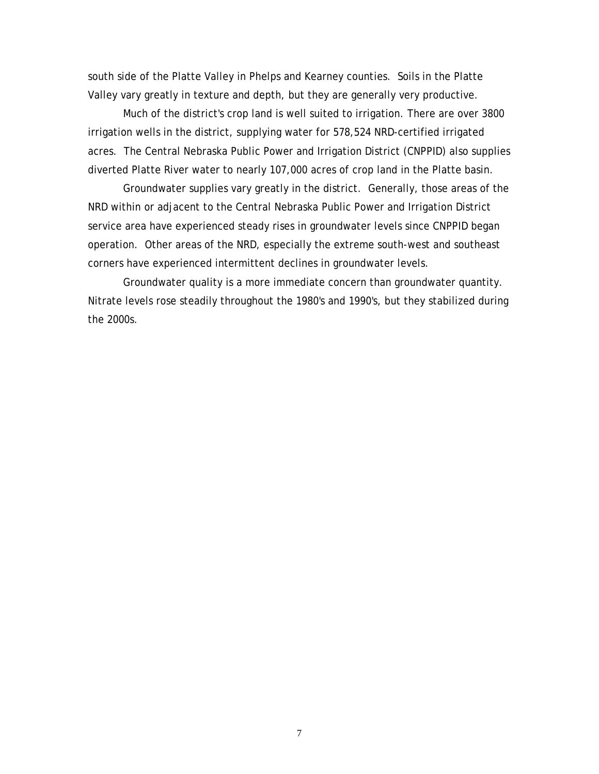south side of the Platte Valley in Phelps and Kearney counties. Soils in the Platte Valley vary greatly in texture and depth, but they are generally very productive.

Much of the district's crop land is well suited to irrigation. There are over 3800 irrigation wells in the district, supplying water for 578,524 NRD-certified irrigated acres. The Central Nebraska Public Power and Irrigation District (CNPPID) also supplies diverted Platte River water to nearly 107,000 acres of crop land in the Platte basin.

Groundwater supplies vary greatly in the district. Generally, those areas of the NRD within or adjacent to the Central Nebraska Public Power and Irrigation District service area have experienced steady rises in groundwater levels since CNPPID began operation. Other areas of the NRD, especially the extreme south-west and southeast corners have experienced intermittent declines in groundwater levels.

Groundwater quality is a more immediate concern than groundwater quantity. Nitrate levels rose steadily throughout the 1980's and 1990's, but they stabilized during the 2000s.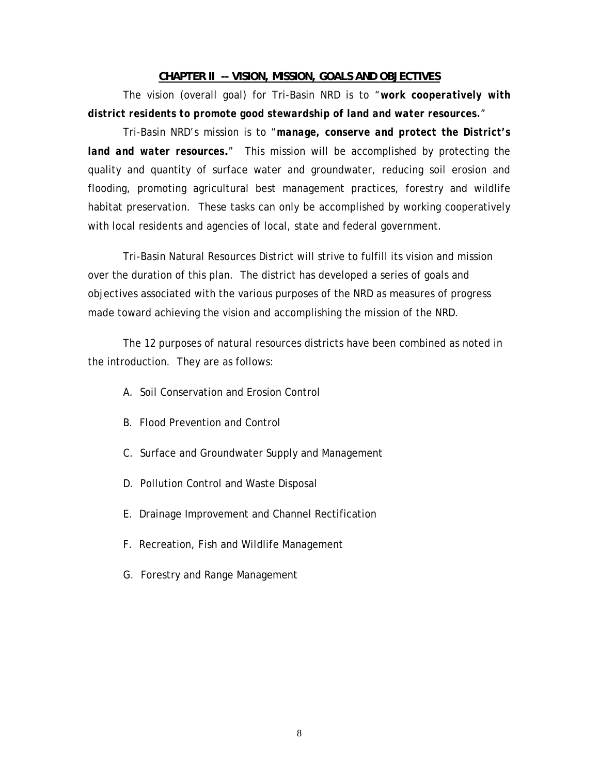#### **CHAPTER II -- VISION, MISSION, GOALS AND OBJECTIVES**

 The vision (overall goal) for Tri-Basin NRD is to "*work cooperatively with district residents to promote good stewardship of land and water resources.*"

 Tri-Basin NRD's mission is to "*manage, conserve and protect the District's land and water resources***.**" This mission will be accomplished by protecting the quality and quantity of surface water and groundwater, reducing soil erosion and flooding, promoting agricultural best management practices, forestry and wildlife habitat preservation. These tasks can only be accomplished by working cooperatively with local residents and agencies of local, state and federal government.

 Tri-Basin Natural Resources District will strive to fulfill its vision and mission over the duration of this plan. The district has developed a series of goals and objectives associated with the various purposes of the NRD as measures of progress made toward achieving the vision and accomplishing the mission of the NRD.

 The 12 purposes of natural resources districts have been combined as noted in the introduction. They are as follows:

- A. Soil Conservation and Erosion Control
- B. Flood Prevention and Control
- C. Surface and Groundwater Supply and Management
- D. Pollution Control and Waste Disposal
- E. Drainage Improvement and Channel Rectification
- F. Recreation, Fish and Wildlife Management
- G. Forestry and Range Management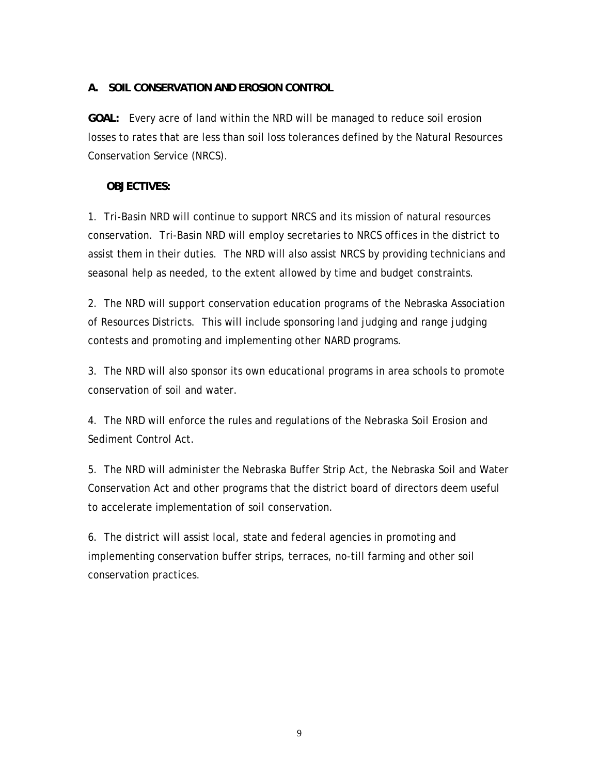### **A. SOIL CONSERVATION AND EROSION CONTROL**

**GOAL:** Every acre of land within the NRD will be managed to reduce soil erosion losses to rates that are less than soil loss tolerances defined by the Natural Resources Conservation Service (NRCS).

### **OBJECTIVES:**

1. Tri-Basin NRD will continue to support NRCS and its mission of natural resources conservation. Tri-Basin NRD will employ secretaries to NRCS offices in the district to assist them in their duties. The NRD will also assist NRCS by providing technicians and seasonal help as needed, to the extent allowed by time and budget constraints.

2. The NRD will support conservation education programs of the Nebraska Association of Resources Districts. This will include sponsoring land judging and range judging contests and promoting and implementing other NARD programs.

3. The NRD will also sponsor its own educational programs in area schools to promote conservation of soil and water.

4. The NRD will enforce the rules and regulations of the Nebraska Soil Erosion and Sediment Control Act.

5. The NRD will administer the Nebraska Buffer Strip Act, the Nebraska Soil and Water Conservation Act and other programs that the district board of directors deem useful to accelerate implementation of soil conservation.

6. The district will assist local, state and federal agencies in promoting and implementing conservation buffer strips, terraces, no-till farming and other soil conservation practices.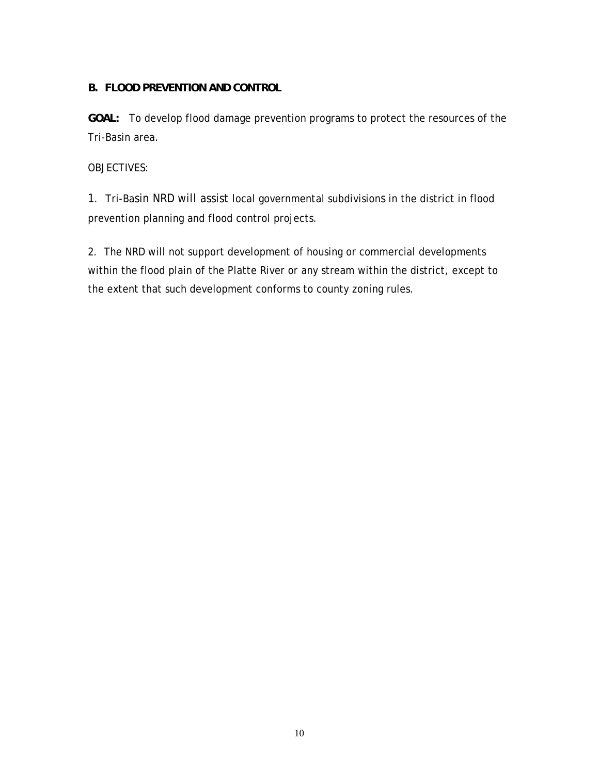### **B. FLOOD PREVENTION AND CONTROL**

**GOAL:** To develop flood damage prevention programs to protect the resources of the Tri-Basin area.

### OBJECTIVES:

1. Tri-Basin NRD will assist local governmental subdivisions in the district in flood prevention planning and flood control projects.

2. The NRD will not support development of housing or commercial developments within the flood plain of the Platte River or any stream within the district, except to the extent that such development conforms to county zoning rules.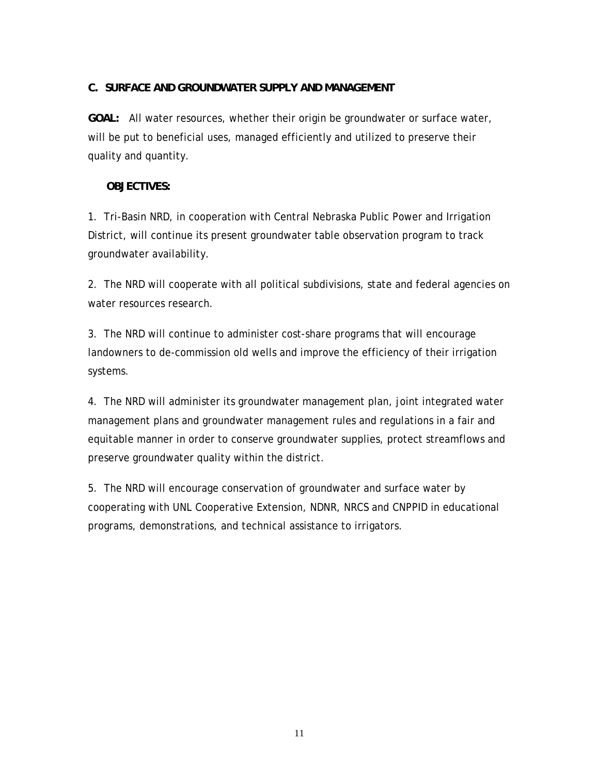#### **C. SURFACE AND GROUNDWATER SUPPLY AND MANAGEMENT**

**GOAL:** All water resources, whether their origin be groundwater or surface water, will be put to beneficial uses, managed efficiently and utilized to preserve their quality and quantity.

### **OBJECTIVES:**

1. Tri-Basin NRD, in cooperation with Central Nebraska Public Power and Irrigation District, will continue its present groundwater table observation program to track groundwater availability.

2. The NRD will cooperate with all political subdivisions, state and federal agencies on water resources research.

3. The NRD will continue to administer cost-share programs that will encourage landowners to de-commission old wells and improve the efficiency of their irrigation systems.

4. The NRD will administer its groundwater management plan, joint integrated water management plans and groundwater management rules and regulations in a fair and equitable manner in order to conserve groundwater supplies, protect streamflows and preserve groundwater quality within the district.

5. The NRD will encourage conservation of groundwater and surface water by cooperating with UNL Cooperative Extension, NDNR, NRCS and CNPPID in educational programs, demonstrations, and technical assistance to irrigators.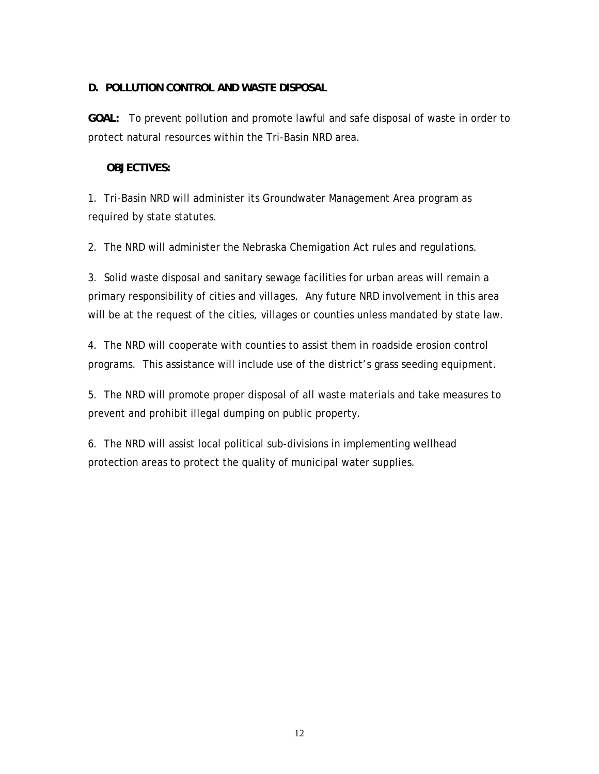### **D. POLLUTION CONTROL AND WASTE DISPOSAL**

**GOAL:** To prevent pollution and promote lawful and safe disposal of waste in order to protect natural resources within the Tri-Basin NRD area.

### **OBJECTIVES:**

1. Tri-Basin NRD will administer its Groundwater Management Area program as required by state statutes.

2. The NRD will administer the Nebraska Chemigation Act rules and regulations.

3. Solid waste disposal and sanitary sewage facilities for urban areas will remain a primary responsibility of cities and villages. Any future NRD involvement in this area will be at the request of the cities, villages or counties unless mandated by state law.

4. The NRD will cooperate with counties to assist them in roadside erosion control programs. This assistance will include use of the district's grass seeding equipment.

5. The NRD will promote proper disposal of all waste materials and take measures to prevent and prohibit illegal dumping on public property.

6. The NRD will assist local political sub-divisions in implementing wellhead protection areas to protect the quality of municipal water supplies.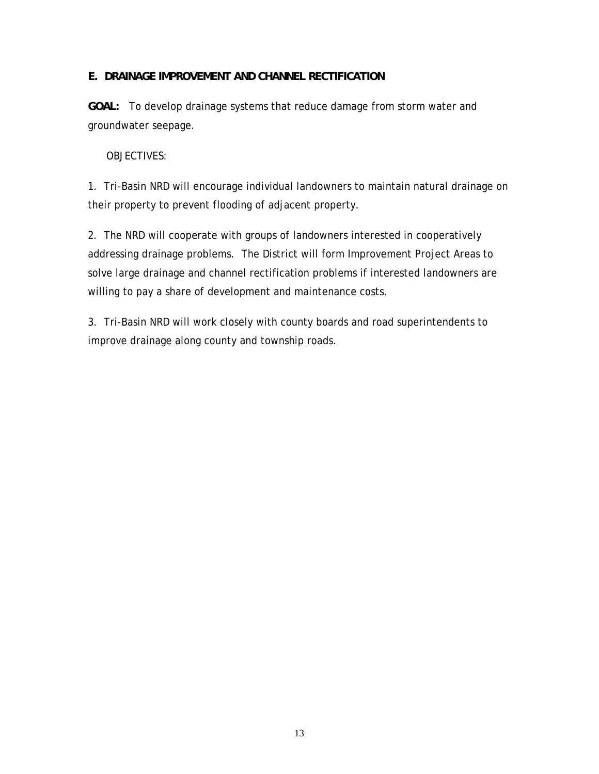### **E. DRAINAGE IMPROVEMENT AND CHANNEL RECTIFICATION**

**GOAL:** To develop drainage systems that reduce damage from storm water and groundwater seepage.

#### OBJECTIVES:

1. Tri-Basin NRD will encourage individual landowners to maintain natural drainage on their property to prevent flooding of adjacent property.

2. The NRD will cooperate with groups of landowners interested in cooperatively addressing drainage problems. The District will form Improvement Project Areas to solve large drainage and channel rectification problems if interested landowners are willing to pay a share of development and maintenance costs.

3. Tri-Basin NRD will work closely with county boards and road superintendents to improve drainage along county and township roads.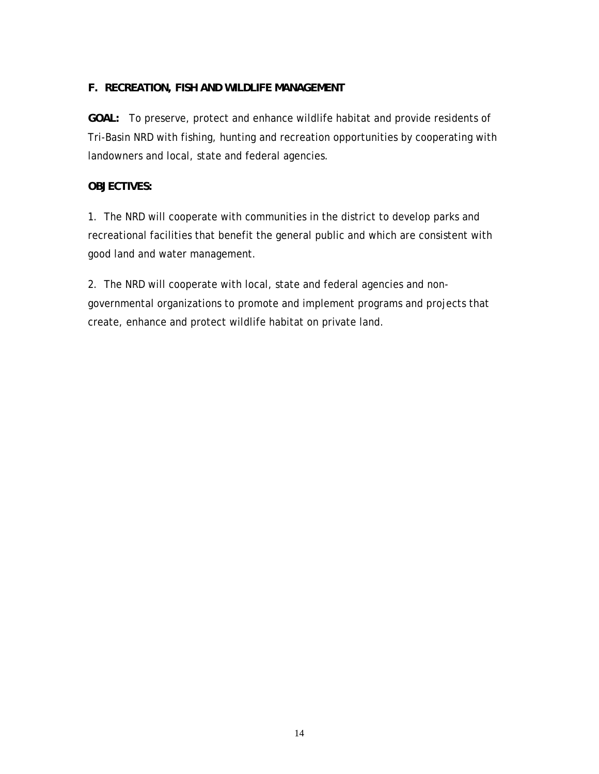### **F. RECREATION, FISH AND WILDLIFE MANAGEMENT**

**GOAL:** To preserve, protect and enhance wildlife habitat and provide residents of Tri-Basin NRD with fishing, hunting and recreation opportunities by cooperating with landowners and local, state and federal agencies.

### **OBJECTIVES:**

1. The NRD will cooperate with communities in the district to develop parks and recreational facilities that benefit the general public and which are consistent with good land and water management.

2. The NRD will cooperate with local, state and federal agencies and nongovernmental organizations to promote and implement programs and projects that create, enhance and protect wildlife habitat on private land.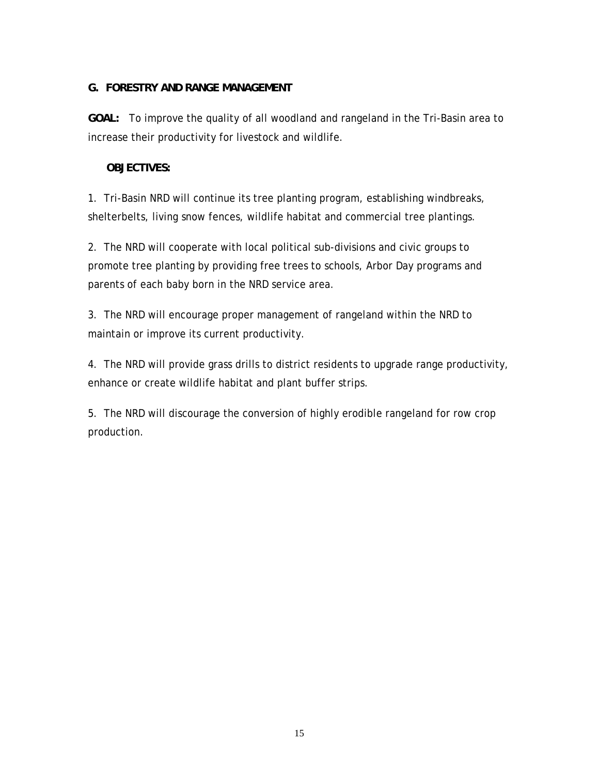### **G. FORESTRY AND RANGE MANAGEMENT**

**GOAL:** To improve the quality of all woodland and rangeland in the Tri-Basin area to increase their productivity for livestock and wildlife.

### **OBJECTIVES:**

1. Tri-Basin NRD will continue its tree planting program, establishing windbreaks, shelterbelts, living snow fences, wildlife habitat and commercial tree plantings.

2. The NRD will cooperate with local political sub-divisions and civic groups to promote tree planting by providing free trees to schools, Arbor Day programs and parents of each baby born in the NRD service area.

3. The NRD will encourage proper management of rangeland within the NRD to maintain or improve its current productivity.

4. The NRD will provide grass drills to district residents to upgrade range productivity, enhance or create wildlife habitat and plant buffer strips.

5. The NRD will discourage the conversion of highly erodible rangeland for row crop production.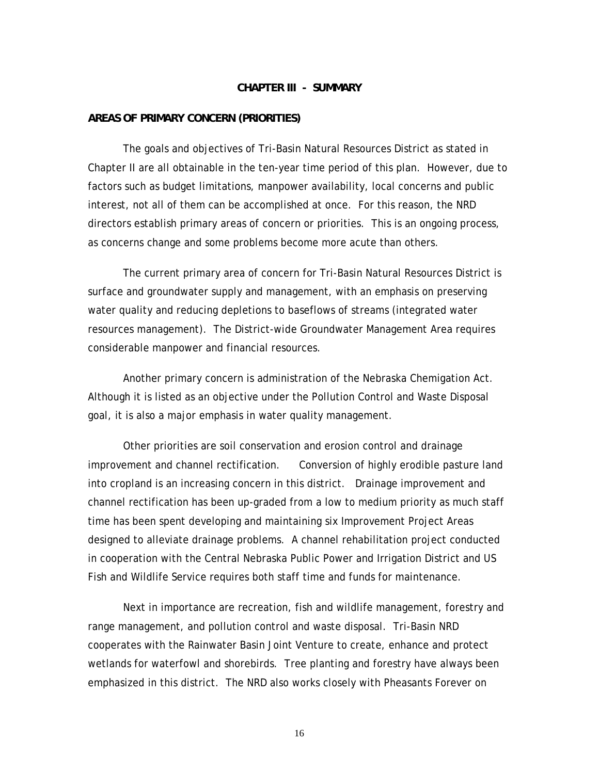#### **CHAPTER III - SUMMARY**

#### **AREAS OF PRIMARY CONCERN (PRIORITIES)**

 The goals and objectives of Tri-Basin Natural Resources District as stated in Chapter II are all obtainable in the ten-year time period of this plan. However, due to factors such as budget limitations, manpower availability, local concerns and public interest, not all of them can be accomplished at once. For this reason, the NRD directors establish primary areas of concern or priorities. This is an ongoing process, as concerns change and some problems become more acute than others.

 The current primary area of concern for Tri-Basin Natural Resources District is surface and groundwater supply and management, with an emphasis on preserving water quality and reducing depletions to baseflows of streams (integrated water resources management). The District-wide Groundwater Management Area requires considerable manpower and financial resources.

 Another primary concern is administration of the Nebraska Chemigation Act. Although it is listed as an objective under the Pollution Control and Waste Disposal goal, it is also a major emphasis in water quality management.

 Other priorities are soil conservation and erosion control and drainage improvement and channel rectification. Conversion of highly erodible pasture land into cropland is an increasing concern in this district. Drainage improvement and channel rectification has been up-graded from a low to medium priority as much staff time has been spent developing and maintaining six Improvement Project Areas designed to alleviate drainage problems. A channel rehabilitation project conducted in cooperation with the Central Nebraska Public Power and Irrigation District and US Fish and Wildlife Service requires both staff time and funds for maintenance.

 Next in importance are recreation, fish and wildlife management, forestry and range management, and pollution control and waste disposal. Tri-Basin NRD cooperates with the Rainwater Basin Joint Venture to create, enhance and protect wetlands for waterfowl and shorebirds. Tree planting and forestry have always been emphasized in this district. The NRD also works closely with Pheasants Forever on

16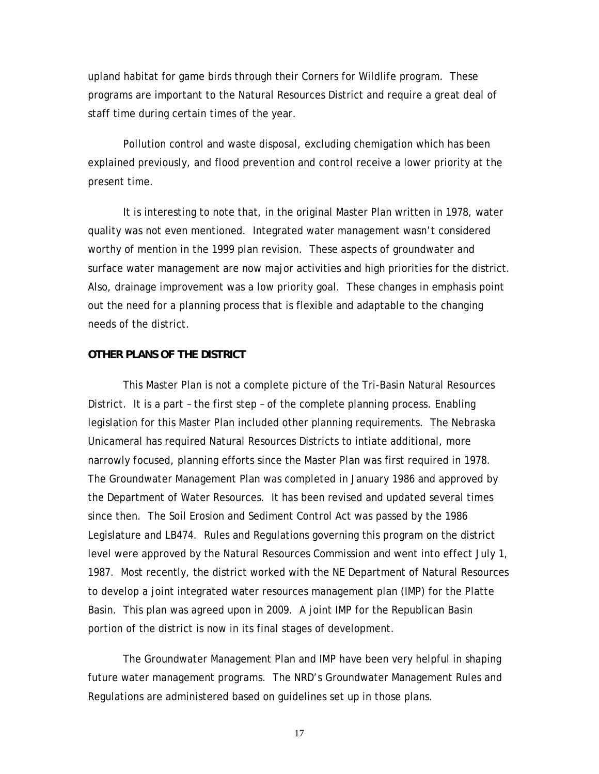upland habitat for game birds through their Corners for Wildlife program. These programs are important to the Natural Resources District and require a great deal of staff time during certain times of the year.

 Pollution control and waste disposal, excluding chemigation which has been explained previously, and flood prevention and control receive a lower priority at the present time.

 It is interesting to note that, in the original Master Plan written in 1978, water quality was not even mentioned. Integrated water management wasn't considered worthy of mention in the 1999 plan revision. These aspects of groundwater and surface water management are now major activities and high priorities for the district. Also, drainage improvement was a low priority goal. These changes in emphasis point out the need for a planning process that is flexible and adaptable to the changing needs of the district.

#### **OTHER PLANS OF THE DISTRICT**

 This Master Plan is not a complete picture of the Tri-Basin Natural Resources District. It is a part – the first step – of the complete planning process. Enabling legislation for this Master Plan included other planning requirements. The Nebraska Unicameral has required Natural Resources Districts to intiate additional, more narrowly focused, planning efforts since the Master Plan was first required in 1978. The Groundwater Management Plan was completed in January 1986 and approved by the Department of Water Resources. It has been revised and updated several times since then. The Soil Erosion and Sediment Control Act was passed by the 1986 Legislature and LB474. Rules and Regulations governing this program on the district level were approved by the Natural Resources Commission and went into effect July 1, 1987. Most recently, the district worked with the NE Department of Natural Resources to develop a joint integrated water resources management plan (IMP) for the Platte Basin. This plan was agreed upon in 2009. A joint IMP for the Republican Basin portion of the district is now in its final stages of development.

 The Groundwater Management Plan and IMP have been very helpful in shaping future water management programs. The NRD's Groundwater Management Rules and Regulations are administered based on guidelines set up in those plans.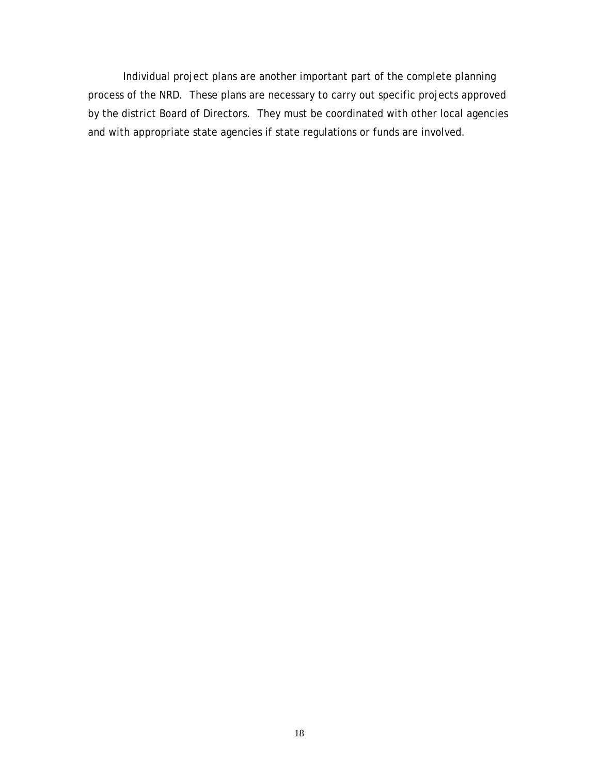Individual project plans are another important part of the complete planning process of the NRD. These plans are necessary to carry out specific projects approved by the district Board of Directors. They must be coordinated with other local agencies and with appropriate state agencies if state regulations or funds are involved.